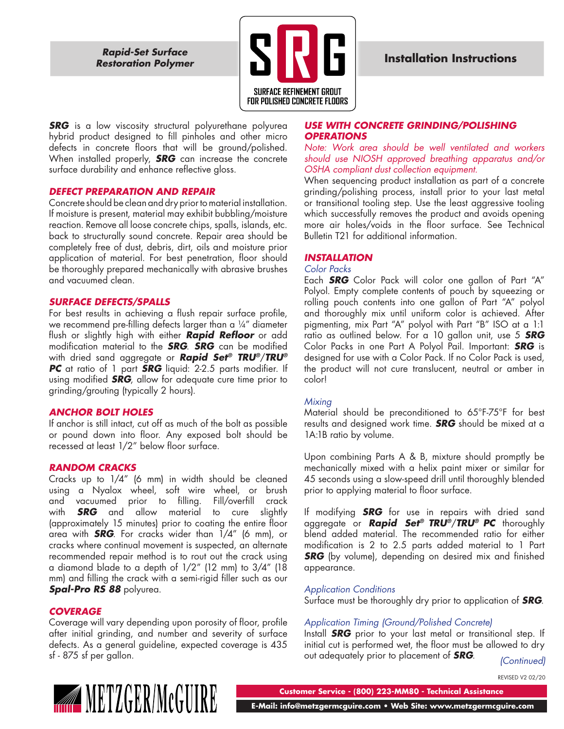*Restoration Polymer*



*SRG* is a low viscosity structural polyurethane polyurea hybrid product designed to fill pinholes and other micro defects in concrete floors that will be ground/polished. When installed properly, *SRG* can increase the concrete surface durability and enhance reflective gloss.

# *DEFECT PREPARATION AND REPAIR*

Concrete should be clean and dry prior to material installation. If moisture is present, material may exhibit bubbling/moisture reaction. Remove all loose concrete chips, spalls, islands, etc. back to structurally sound concrete. Repair area should be completely free of dust, debris, dirt, oils and moisture prior application of material. For best penetration, floor should be thoroughly prepared mechanically with abrasive brushes and vacuumed clean.

#### *SURFACE DEFECTS/SPALLS*

For best results in achieving a flush repair surface profile, we recommend pre-filling defects larger than a 1/4" diameter flush or slightly high with either *Rapid Refloor* or add modification material to the *SRG*. *SRG* can be modified with dried sand aggregate or *Rapid Set® TRU®*/*TRU® PC* at ratio of 1 part *SRG* liquid: 2-2.5 parts modifier. If using modified *SRG*, allow for adequate cure time prior to grinding/grouting (typically 2 hours).

# *ANCHOR BOLT HOLES*

If anchor is still intact, cut off as much of the bolt as possible or pound down into floor. Any exposed bolt should be recessed at least 1/2" below floor surface.

# *RANDOM CRACKS*

Cracks up to 1/4" (6 mm) in width should be cleaned using a Nyalox wheel, soft wire wheel, or brush and vacuumed prior to filling. Fill/overfill crack with *SRG* and allow material to cure slightly (approximately 15 minutes) prior to coating the entire floor area with *SRG*. For cracks wider than 1/4" (6 mm), or cracks where continual movement is suspected, an alternate recommended repair method is to rout out the crack using a diamond blade to a depth of 1/2" (12 mm) to 3/4" (18 mm) and filling the crack with a semi-rigid filler such as our *Spal-Pro RS 88* polyurea.

# *COVERAGE*

Coverage will vary depending upon porosity of floor, profile after initial grinding, and number and severity of surface defects. As a general guideline, expected coverage is 435 sf - 875 sf per gallon.

# *USE WITH CONCRETE GRINDING/POLISHING OPERATIONS*

*Note: Work area should be well ventilated and workers should use NIOSH approved breathing apparatus and/or OSHA compliant dust collection equipment.*

When sequencing product installation as part of a concrete grinding/polishing process, install prior to your last metal or transitional tooling step. Use the least aggressive tooling which successfully removes the product and avoids opening more air holes/voids in the floor surface. See Technical Bulletin T21 for additional information.

# *INSTALLATION*

#### *Color Packs*

Each *SRG* Color Pack will color one gallon of Part "A" Polyol. Empty complete contents of pouch by squeezing or rolling pouch contents into one gallon of Part "A" polyol and thoroughly mix until uniform color is achieved. After pigmenting, mix Part "A" polyol with Part "B" ISO at a 1:1 ratio as outlined below. For a 10 gallon unit, use 5 *SRG* Color Packs in one Part A Polyol Pail. Important: *SRG* is designed for use with a Color Pack. If no Color Pack is used, the product will not cure translucent, neutral or amber in color!

# *Mixing*

Material should be preconditioned to 65°F-75°F for best results and designed work time. *SRG* should be mixed at a 1A:1B ratio by volume.

Upon combining Parts A & B, mixture should promptly be mechanically mixed with a helix paint mixer or similar for 45 seconds using a slow-speed drill until thoroughly blended prior to applying material to floor surface.

If modifying *SRG* for use in repairs with dried sand aggregate or *Rapid Set® TRU®*/*TRU® PC* thoroughly blend added material. The recommended ratio for either modification is 2 to 2.5 parts added material to 1 Part *SRG* (by volume), depending on desired mix and finished appearance.

# *Application Conditions*

Surface must be thoroughly dry prior to application of *SRG*.

# *Application Timing (Ground/Polished Concrete)*

Install *SRG* prior to your last metal or transitional step. If initial cut is performed wet, the floor must be allowed to dry out adequately prior to placement of *SRG*. *(Continued)*

REVISED V2 02/20



**Customer Service - (800) 223-MM80 - Technical Assistance**

 **E-Mail: info@metzgermcguire.com • Web Site: www.metzgermcguire.com**